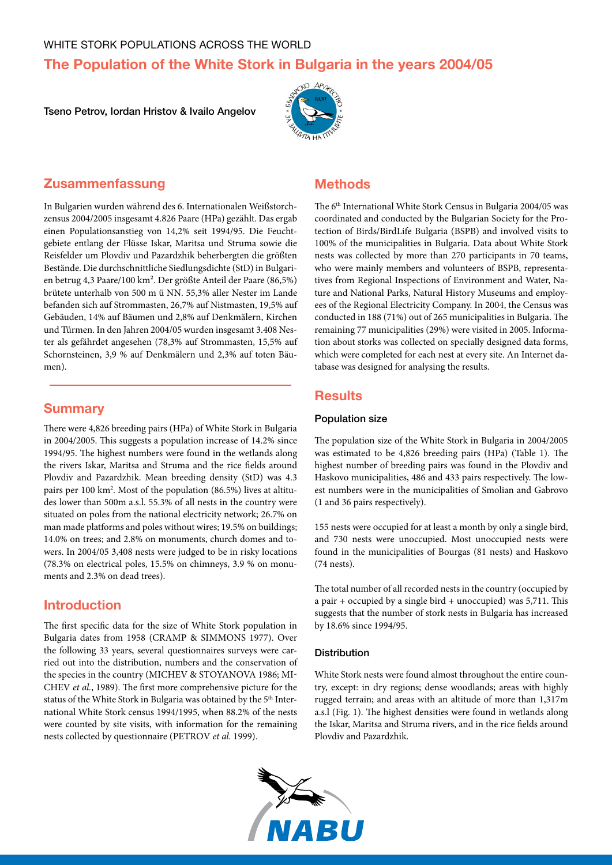# **The Population of the White Stork in Bulgaria in the years 2004/05**

Tseno Petrov, Iordan Hristov & Ivailo Angelov



# **Zusammenfassung**

In Bulgarien wurden während des 6. Internationalen Weißstorchzensus 2004/2005 insgesamt 4.826 Paare (HPa) gezählt. Das ergab einen Populationsanstieg von 14,2% seit 1994/95. Die Feuchtgebiete entlang der Flüsse Iskar, Maritsa und Struma sowie die Reisfelder um Plovdiv und Pazardzhik beherbergten die größten Bestände. Die durchschnittliche Siedlungsdichte (StD) in Bulgarien betrug 4,3 Paare/100 km². Der größte Anteil der Paare (86,5%) brütete unterhalb von 500 m ü NN. 55,3% aller Nester im Lande befanden sich auf Strommasten, 26,7% auf Nistmasten, 19,5% auf Gebäuden, 14% auf Bäumen und 2,8% auf Denkmälern, Kirchen und Türmen. In den Jahren 2004/05 wurden insgesamt 3.408 Nester als gefährdet angesehen (78,3% auf Strommasten, 15,5% auf Schornsteinen, 3,9 % auf Denkmälern und 2,3% auf toten Bäumen).

### **Summary**

There were 4,826 breeding pairs (HPa) of White Stork in Bulgaria in 2004/2005. This suggests a population increase of 14.2% since 1994/95. The highest numbers were found in the wetlands along the rivers Iskar, Maritsa and Struma and the rice fields around Plovdiv and Pazardzhik. Mean breeding density (StD) was 4.3 pairs per 100 km<sup>2</sup>. Most of the population (86.5%) lives at altitudes lower than 500m a.s.l. 55.3% of all nests in the country were situated on poles from the national electricity network; 26.7% on man made platforms and poles without wires; 19.5% on buildings; 14.0% on trees; and 2.8% on monuments, church domes and towers. In 2004/05 3,408 nests were judged to be in risky locations (78.3% on electrical poles, 15.5% on chimneys, 3.9 % on monuments and 2.3% on dead trees).

# **Introduction**

The first specific data for the size of White Stork population in Bulgaria dates from 1958 (CRAMP & SIMMONS 1977). Over the following 33 years, several questionnaires surveys were carried out into the distribution, numbers and the conservation of the species in the country (MICHEV & STOYANOVA 1986; MI-CHEV *et al.*, 1989). The first more comprehensive picture for the status of the White Stork in Bulgaria was obtained by the 5<sup>th</sup> International White Stork census 1994/1995, when 88.2% of the nests were counted by site visits, with information for the remaining nests collected by questionnaire (PETROV et al. 1999).

# **Methods**

The 6<sup>th</sup> International White Stork Census in Bulgaria 2004/05 was coordinated and conducted by the Bulgarian Society for the Protection of Birds/BirdLife Bulgaria (BSPB) and involved visits to 100% of the municipalities in Bulgaria. Data about White Stork nests was collected by more than 270 participants in 70 teams, who were mainly members and volunteers of BSPB, representatives from Regional Inspections of Environment and Water, Nature and National Parks, Natural History Museums and employees of the Regional Electricity Company. In 2004, the Census was conducted in 188 (71%) out of 265 municipalities in Bulgaria. The remaining 77 municipalities (29%) were visited in 2005. Information about storks was collected on specially designed data forms, which were completed for each nest at every site. An Internet database was designed for analysing the results.

# **Results**

#### Population size

The population size of the White Stork in Bulgaria in 2004/2005 was estimated to be 4,826 breeding pairs (HPa) (Table 1). The highest number of breeding pairs was found in the Plovdiv and Haskovo municipalities, 486 and 433 pairs respectively. The lowest numbers were in the municipalities of Smolian and Gabrovo (1 and 36 pairs respectively).

155 nests were occupied for at least a month by only a single bird, and 730 nests were unoccupied. Most unoccupied nests were found in the municipalities of Bourgas (81 nests) and Haskovo (74 nests).

The total number of all recorded nests in the country (occupied by a pair + occupied by a single bird + unoccupied) was 5,711. This suggests that the number of stork nests in Bulgaria has increased by 18.6% since 1994/95.

#### **Distribution**

White Stork nests were found almost throughout the entire country, except: in dry regions; dense woodlands; areas with highly rugged terrain; and areas with an altitude of more than 1,317m a.s.l (Fig. 1). The highest densities were found in wetlands along the Iskar, Maritsa and Struma rivers, and in the rice fields around Plovdiv and Pazardzhik.

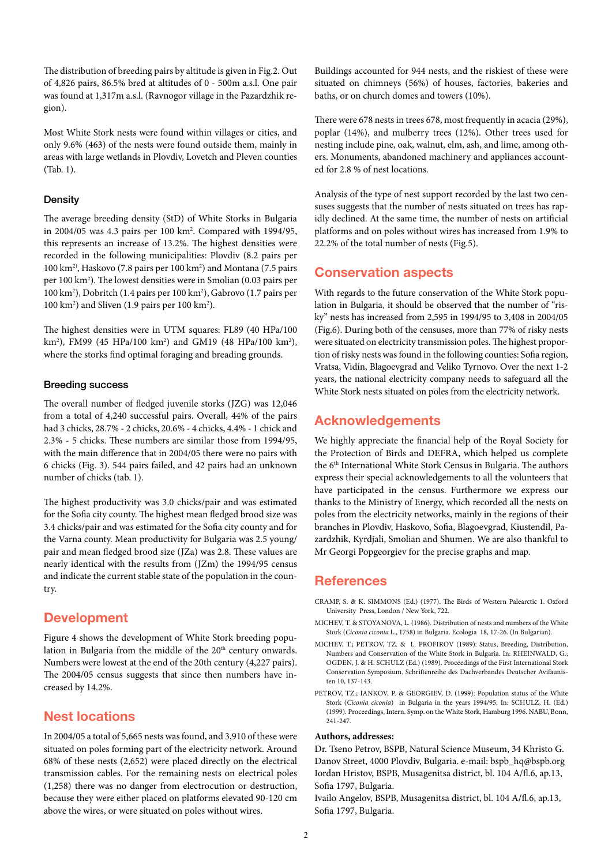The distribution of breeding pairs by altitude is given in Fig.2. Out of 4,826 pairs, 86.5% bred at altitudes of 0 - 500m a.s.l. One pair was found at 1,317m a.s.l. (Ravnogor village in the Pazardzhik region).

Most White Stork nests were found within villages or cities, and only 9.6% (463) of the nests were found outside them, mainly in areas with large wetlands in Plovdiv, Lovetch and Pleven counties (Tab. 1).

#### **Density**

The average breeding density (StD) of White Storks in Bulgaria in 2004/05 was 4.3 pairs per 100 km2 . Compared with 1994/95, this represents an increase of 13.2%. The highest densities were recorded in the following municipalities: Plovdiv (8.2 pairs per 100 km2), Haskovo (7.8 pairs per 100 km2 ) and Montana (7.5 pairs per 100 km2 ). The lowest densities were in Smolian (0.03 pairs per 100 km2 ), Dobritch (1.4 pairs per 100 km2 ), Gabrovo (1.7 pairs per 100 km<sup>2</sup>) and Sliven (1.9 pairs per 100 km<sup>2</sup>).

The highest densities were in UTM squares: FL89 (40 HPa/100 km2 ), FM99 (45 HPa/100 km2 ) and GM19 (48 HPa/100 km2 ), where the storks find optimal foraging and breading grounds.

#### Breeding success

The overall number of fledged juvenile storks (JZG) was 12,046 from a total of 4,240 successful pairs. Overall, 44% of the pairs had 3 chicks, 28.7% - 2 chicks, 20.6% - 4 chicks, 4.4% - 1 chick and 2.3% - 5 chicks. These numbers are similar those from 1994/95, with the main difference that in 2004/05 there were no pairs with 6 chicks (Fig. 3). 544 pairs failed, and 42 pairs had an unknown number of chicks (tab. 1).

The highest productivity was 3.0 chicks/pair and was estimated for the Sofia city county. The highest mean fledged brood size was 3.4 chicks/pair and was estimated for the Sofia city county and for the Varna county. Mean productivity for Bulgaria was 2.5 young/ pair and mean fledged brood size (JZa) was 2.8. These values are nearly identical with the results from (JZm) the 1994/95 census and indicate the current stable state of the population in the country.

# **Development**

Figure 4 shows the development of White Stork breeding population in Bulgaria from the middle of the 20<sup>th</sup> century onwards. Numbers were lowest at the end of the 20th century (4,227 pairs). The 2004/05 census suggests that since then numbers have increased by 14.2%.

# **Nest locations**

In 2004/05 a total of 5,665 nests was found, and 3,910 of these were situated on poles forming part of the electricity network. Around 68% of these nests (2,652) were placed directly on the electrical transmission cables. For the remaining nests on electrical poles (1,258) there was no danger from electrocution or destruction, because they were either placed on platforms elevated 90-120 cm above the wires, or were situated on poles without wires.

Buildings accounted for 944 nests, and the riskiest of these were situated on chimneys (56%) of houses, factories, bakeries and baths, or on church domes and towers (10%).

There were 678 nests in trees 678, most frequently in acacia (29%), poplar (14%), and mulberry trees (12%). Other trees used for nesting include pine, oak, walnut, elm, ash, and lime, among others. Monuments, abandoned machinery and appliances accounted for 2.8 % of nest locations.

Analysis of the type of nest support recorded by the last two censuses suggests that the number of nests situated on trees has rapidly declined. At the same time, the number of nests on artificial platforms and on poles without wires has increased from 1.9% to 22.2% of the total number of nests (Fig.5).

# **Conservation aspects**

With regards to the future conservation of the White Stork population in Bulgaria, it should be observed that the number of "risky" nests has increased from 2,595 in 1994/95 to 3,408 in 2004/05 (Fig.6). During both of the censuses, more than 77% of risky nests were situated on electricity transmission poles. The highest proportion of risky nests was found in the following counties: Sofia region, Vratsa, Vidin, Blagoevgrad and Veliko Tyrnovo. Over the next 1-2 years, the national electricity company needs to safeguard all the White Stork nests situated on poles from the electricity network.

# **Acknowledgements**

We highly appreciate the financial help of the Royal Society for the Protection of Birds and DEFRA, which helped us complete the 6<sup>th</sup> International White Stork Census in Bulgaria. The authors express their special acknowledgements to all the volunteers that have participated in the census. Furthermore we express our thanks to the Ministry of Energy, which recorded all the nests on poles from the electricity networks, mainly in the regions of their branches in Plovdiv, Haskovo, Sofia, Blagoevgrad, Kiustendil, Pazardzhik, Kyrdjali, Smolian and Shumen. We are also thankful to Mr Georgi Popgeorgiev for the precise graphs and map.

# **References**

- Cramp, S. & K. Simmons (Ed.) (1977). The Birds of Western Palearctic 1. Oxford University Press, London / New York, 722.
- Michev, T. & Stoyanova, L. (1986). Distribution of nests and numbers of the White Stork (*Ciconia ciconia* L., 1758) in Bulgaria. Ecologia 18, 17-26. (In Bulgarian).
- Michev, T.; Petrov, Tz. & L. Profirov (1989): Status, Breeding, Distribution, Numbers and Conservation of the White Stork in Bulgaria. In: RHEINWALD, G.; OGDEN, J. & H. SCHULZ (Ed.) (1989). Proceedings of the First International Stork Conservation Symposium. Schriftenreihe des Dachverbandes Deutscher Avifaunisten 10, 137-143.
- PETROV, TZ.; IANKOV, P. & GEORGIEV, D. (1999): Population status of the White Stork (*Ciconia ciconia*) in Bulgaria in the years 1994/95. In: SCHULZ, H. (Ed.) (1999). Proceedings, Intern. Symp. on the White Stork, Hamburg 1996. NABU, Bonn, 241-247.

#### **Authors, addresses:**

Dr. Tseno Petrov, BSPB, Natural Science Museum, 34 Khristo G. Danov Street, 4000 Plovdiv, Bulgaria. e-mail: bspb\_hq@bspb.org Iordan Hristov, BSPB, Musagenitsa district, bl. 104 A/fl.6, ap.13, Sofia 1797, Bulgaria.

Ivailo Angelov, BSPB, Musagenitsa district, bl. 104 A/fl.6, ap.13, Sofia 1797, Bulgaria.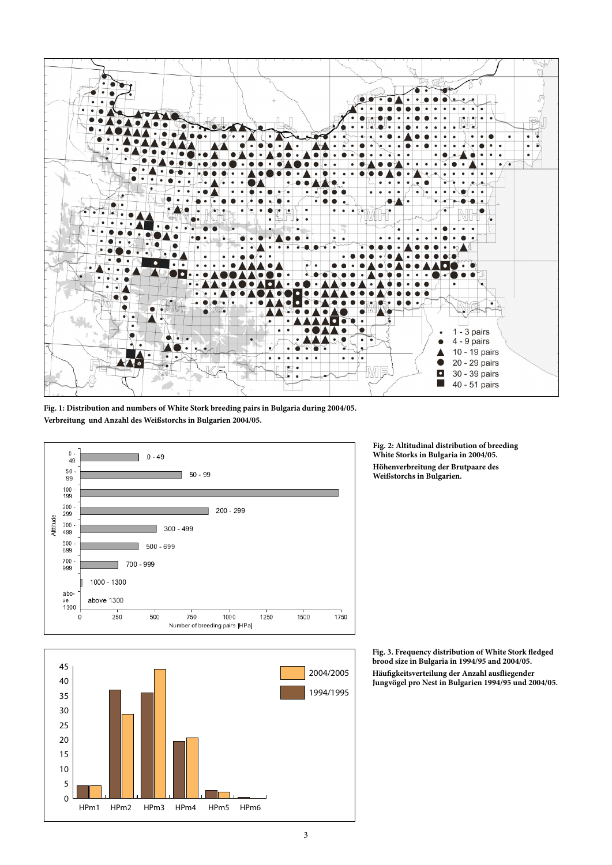

**Fig. 1: Distribution and numbers of White Stork breeding pairs in Bulgaria during 2004/05. Verbreitung und Anzahl des Weißstorchs in Bulgarien 2004/05.** 





**Fig. 2: Altitudinal distribution of breeding White Storks in Bulgaria in 2004/05. Höhenverbreitung der Brutpaare des Weißstorchs in Bulgarien.** 

**Fig. 3. Frequency distribution of White Stork fledged brood size in Bulgaria in 1994/95 and 2004/05. Häufigkeitsverteilung der Anzahl ausfliegender Jungvögel pro Nest in Bulgarien 1994/95 und 2004/05.**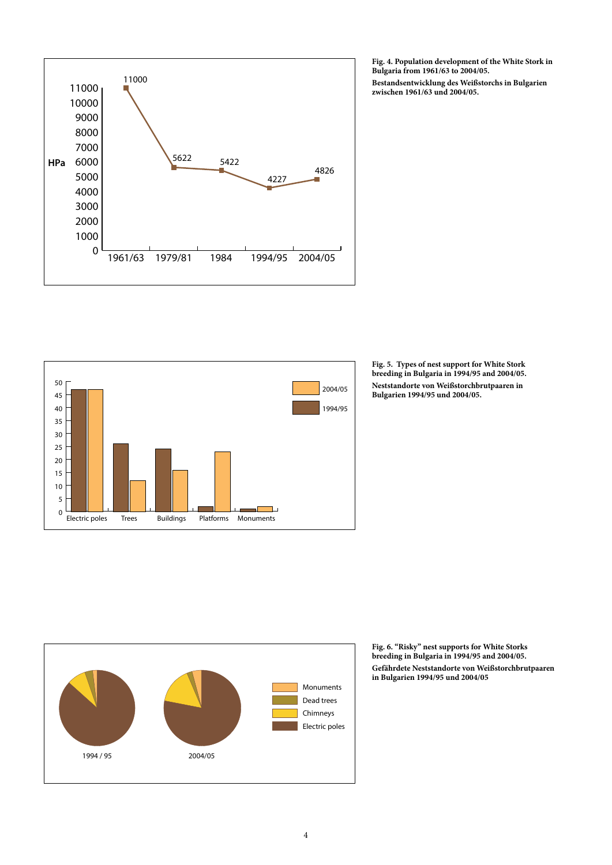

50 2004/05 45 40 1994/95 35 30 25 20 15 10 5 T. 0 Electric poles Trees Buildings Platforms Monuments



**Bestandsentwicklung des Weißstorchs in Bulgarien zwischen 1961/63 und 2004/05.** 





**Fig. 6. "Risky" nest supports for White Storks breeding in Bulgaria in 1994/95 and 2004/05. Gefährdete Neststandorte von Weißstorchbrutpaaren in Bulgarien 1994/95 und 2004/05**